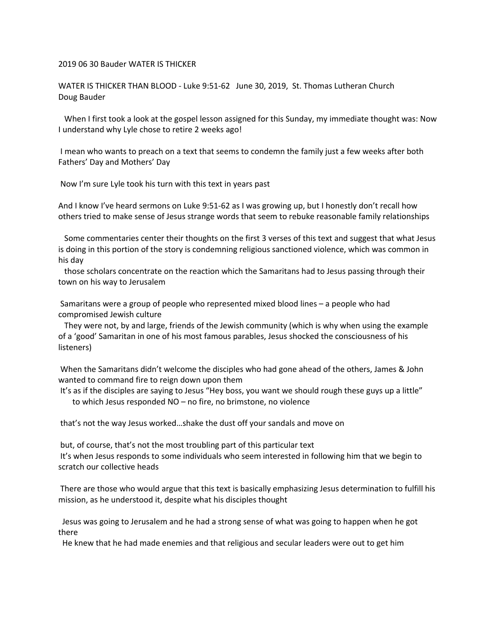## 2019 06 30 Bauder WATER IS THICKER

WATER IS THICKER THAN BLOOD - Luke 9:51-62 June 30, 2019, St. Thomas Lutheran Church Doug Bauder

 When I first took a look at the gospel lesson assigned for this Sunday, my immediate thought was: Now I understand why Lyle chose to retire 2 weeks ago!

I mean who wants to preach on a text that seems to condemn the family just a few weeks after both Fathers' Day and Mothers' Day

Now I'm sure Lyle took his turn with this text in years past

And I know I've heard sermons on Luke 9:51-62 as I was growing up, but I honestly don't recall how others tried to make sense of Jesus strange words that seem to rebuke reasonable family relationships

 Some commentaries center their thoughts on the first 3 verses of this text and suggest that what Jesus is doing in this portion of the story is condemning religious sanctioned violence, which was common in his day

 those scholars concentrate on the reaction which the Samaritans had to Jesus passing through their town on his way to Jerusalem

Samaritans were a group of people who represented mixed blood lines – a people who had compromised Jewish culture

 They were not, by and large, friends of the Jewish community (which is why when using the example of a 'good' Samaritan in one of his most famous parables, Jesus shocked the consciousness of his listeners)

When the Samaritans didn't welcome the disciples who had gone ahead of the others, James & John wanted to command fire to reign down upon them

It's as if the disciples are saying to Jesus "Hey boss, you want we should rough these guys up a little" to which Jesus responded NO – no fire, no brimstone, no violence

that's not the way Jesus worked…shake the dust off your sandals and move on

but, of course, that's not the most troubling part of this particular text It's when Jesus responds to some individuals who seem interested in following him that we begin to scratch our collective heads

There are those who would argue that this text is basically emphasizing Jesus determination to fulfill his mission, as he understood it, despite what his disciples thought

 Jesus was going to Jerusalem and he had a strong sense of what was going to happen when he got there

He knew that he had made enemies and that religious and secular leaders were out to get him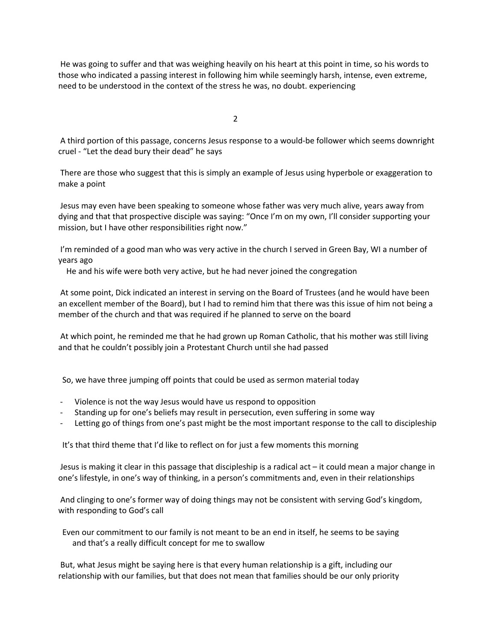He was going to suffer and that was weighing heavily on his heart at this point in time, so his words to those who indicated a passing interest in following him while seemingly harsh, intense, even extreme, need to be understood in the context of the stress he was, no doubt. experiencing

2

A third portion of this passage, concerns Jesus response to a would-be follower which seems downright cruel - "Let the dead bury their dead" he says

There are those who suggest that this is simply an example of Jesus using hyperbole or exaggeration to make a point

Jesus may even have been speaking to someone whose father was very much alive, years away from dying and that that prospective disciple was saying: "Once I'm on my own, I'll consider supporting your mission, but I have other responsibilities right now."

I'm reminded of a good man who was very active in the church I served in Green Bay, WI a number of years ago

He and his wife were both very active, but he had never joined the congregation

At some point, Dick indicated an interest in serving on the Board of Trustees (and he would have been an excellent member of the Board), but I had to remind him that there was this issue of him not being a member of the church and that was required if he planned to serve on the board

At which point, he reminded me that he had grown up Roman Catholic, that his mother was still living and that he couldn't possibly join a Protestant Church until she had passed

So, we have three jumping off points that could be used as sermon material today

- Violence is not the way Jesus would have us respond to opposition
- Standing up for one's beliefs may result in persecution, even suffering in some way
- Letting go of things from one's past might be the most important response to the call to discipleship

It's that third theme that I'd like to reflect on for just a few moments this morning

Jesus is making it clear in this passage that discipleship is a radical act – it could mean a major change in one's lifestyle, in one's way of thinking, in a person's commitments and, even in their relationships

And clinging to one's former way of doing things may not be consistent with serving God's kingdom, with responding to God's call

 Even our commitment to our family is not meant to be an end in itself, he seems to be saying and that's a really difficult concept for me to swallow

But, what Jesus might be saying here is that every human relationship is a gift, including our relationship with our families, but that does not mean that families should be our only priority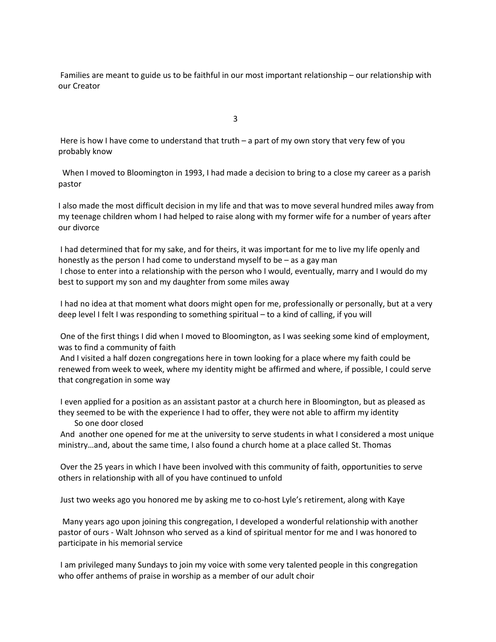Families are meant to guide us to be faithful in our most important relationship – our relationship with our Creator

3

Here is how I have come to understand that truth – a part of my own story that very few of you probably know

 When I moved to Bloomington in 1993, I had made a decision to bring to a close my career as a parish pastor

I also made the most difficult decision in my life and that was to move several hundred miles away from my teenage children whom I had helped to raise along with my former wife for a number of years after our divorce

I had determined that for my sake, and for theirs, it was important for me to live my life openly and honestly as the person I had come to understand myself to be – as a gay man I chose to enter into a relationship with the person who I would, eventually, marry and I would do my best to support my son and my daughter from some miles away

I had no idea at that moment what doors might open for me, professionally or personally, but at a very deep level I felt I was responding to something spiritual – to a kind of calling, if you will

One of the first things I did when I moved to Bloomington, as I was seeking some kind of employment, was to find a community of faith

And I visited a half dozen congregations here in town looking for a place where my faith could be renewed from week to week, where my identity might be affirmed and where, if possible, I could serve that congregation in some way

I even applied for a position as an assistant pastor at a church here in Bloomington, but as pleased as they seemed to be with the experience I had to offer, they were not able to affirm my identity So one door closed

And another one opened for me at the university to serve students in what I considered a most unique ministry…and, about the same time, I also found a church home at a place called St. Thomas

Over the 25 years in which I have been involved with this community of faith, opportunities to serve others in relationship with all of you have continued to unfold

Just two weeks ago you honored me by asking me to co-host Lyle's retirement, along with Kaye

Many years ago upon joining this congregation, I developed a wonderful relationship with another pastor of ours - Walt Johnson who served as a kind of spiritual mentor for me and I was honored to participate in his memorial service

I am privileged many Sundays to join my voice with some very talented people in this congregation who offer anthems of praise in worship as a member of our adult choir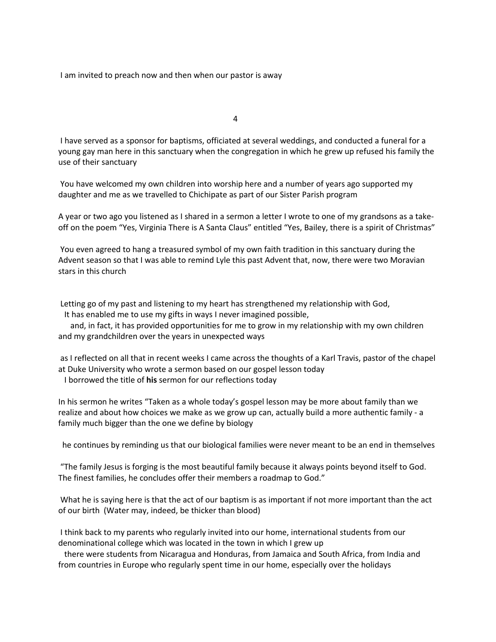I am invited to preach now and then when our pastor is away

4

I have served as a sponsor for baptisms, officiated at several weddings, and conducted a funeral for a young gay man here in this sanctuary when the congregation in which he grew up refused his family the use of their sanctuary

You have welcomed my own children into worship here and a number of years ago supported my daughter and me as we travelled to Chichipate as part of our Sister Parish program

A year or two ago you listened as I shared in a sermon a letter I wrote to one of my grandsons as a takeoff on the poem "Yes, Virginia There is A Santa Claus" entitled "Yes, Bailey, there is a spirit of Christmas"

You even agreed to hang a treasured symbol of my own faith tradition in this sanctuary during the Advent season so that I was able to remind Lyle this past Advent that, now, there were two Moravian stars in this church

Letting go of my past and listening to my heart has strengthened my relationship with God,

It has enabled me to use my gifts in ways I never imagined possible,

 and, in fact, it has provided opportunities for me to grow in my relationship with my own children and my grandchildren over the years in unexpected ways

as I reflected on all that in recent weeks I came across the thoughts of a Karl Travis, pastor of the chapel at Duke University who wrote a sermon based on our gospel lesson today I borrowed the title of **his** sermon for our reflections today

In his sermon he writes "Taken as a whole today's gospel lesson may be more about family than we realize and about how choices we make as we grow up can, actually build a more authentic family - a family much bigger than the one we define by biology

he continues by reminding us that our biological families were never meant to be an end in themselves

"The family Jesus is forging is the most beautiful family because it always points beyond itself to God. The finest families, he concludes offer their members a roadmap to God."

What he is saying here is that the act of our baptism is as important if not more important than the act of our birth (Water may, indeed, be thicker than blood)

I think back to my parents who regularly invited into our home, international students from our denominational college which was located in the town in which I grew up

 there were students from Nicaragua and Honduras, from Jamaica and South Africa, from India and from countries in Europe who regularly spent time in our home, especially over the holidays